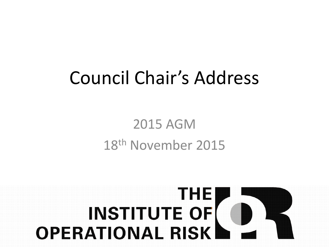# Council Chair's Address

#### 2015 AGM 18th November 2015

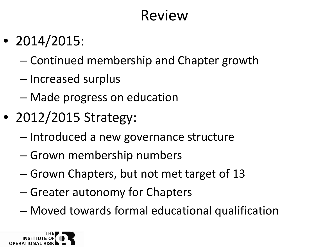#### Review

- 2014/2015:
	- Continued membership and Chapter growth
	- Increased surplus
	- Made progress on education
- 2012/2015 Strategy:
	- Introduced a new governance structure
	- Grown membership numbers
	- Grown Chapters, but not met target of 13
	- Greater autonomy for Chapters
	- Moved towards formal educational qualification

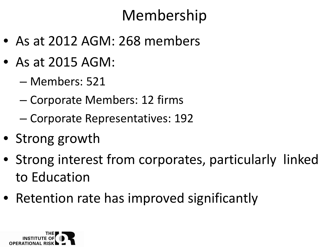### Membership

- As at 2012 AGM: 268 members
- As at 2015 AGM:
	- Members: 521
	- Corporate Members: 12 firms
	- Corporate Representatives: 192
- Strong growth
- Strong interest from corporates, particularly linked to Education
- Retention rate has improved significantly

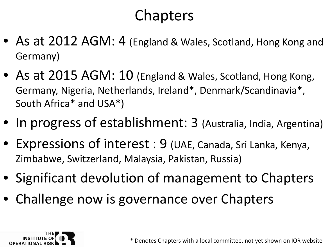### **Chapters**

- As at 2012 AGM: 4 (England & Wales, Scotland, Hong Kong and Germany)
- As at 2015 AGM: 10 (England & Wales, Scotland, Hong Kong, Germany, Nigeria, Netherlands, Ireland\*, Denmark/Scandinavia\*, South Africa\* and USA\*)
- In progress of establishment: 3 (Australia, India, Argentina)
- Expressions of interest : 9 (UAE, Canada, Sri Lanka, Kenya, Zimbabwe, Switzerland, Malaysia, Pakistan, Russia)
- Significant devolution of management to Chapters
- Challenge now is governance over Chapters

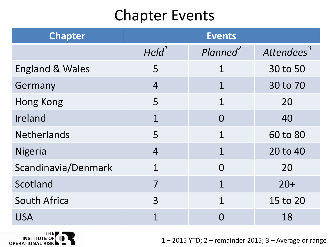#### Chapter Events

| <b>Chapter</b>             | <b>Events</b>     |                      |                        |
|----------------------------|-------------------|----------------------|------------------------|
|                            | Held <sup>1</sup> | Planned <sup>2</sup> | Attendees <sup>3</sup> |
| <b>England &amp; Wales</b> | 5                 | $\mathbf 1$          | 30 to 50               |
| Germany                    | $\overline{4}$    | $\mathbf 1$          | 30 to 70               |
| <b>Hong Kong</b>           | 5                 | 1                    | 20                     |
| Ireland                    | $\mathbf 1$       | $\Omega$             | 40                     |
| <b>Netherlands</b>         | 5                 | 1                    | 60 to 80               |
| <b>Nigeria</b>             | $\overline{4}$    | 1                    | 20 to 40               |
| Scandinavia/Denmark        |                   | $\Omega$             | 20                     |
| Scotland                   |                   | 1                    | $20+$                  |
| <b>South Africa</b>        | 3                 | 1                    | 15 to 20               |
| <b>USA</b>                 |                   |                      | 18                     |



1 – 2015 YTD; 2 – remainder 2015; 3 – Average or range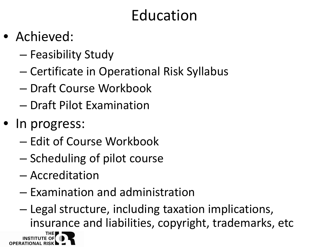## Education

- Achieved:
	- Feasibility Study
	- Certificate in Operational Risk Syllabus
	- Draft Course Workbook
	- Draft Pilot Examination
- In progress:
	- Edit of Course Workbook
	- Scheduling of pilot course
	- Accreditation
	- Examination and administration
	- Legal structure, including taxation implications, insurance and liabilities, copyright, trademarks, etc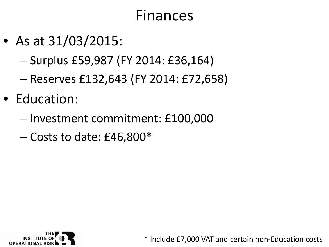#### Finances

- As at 31/03/2015:
	- Surplus £59,987 (FY 2014: £36,164)
	- Reserves £132,643 (FY 2014: £72,658)
- Education:
	- Investment commitment: £100,000
	- $-$  Costs to date: £46,800 $*$